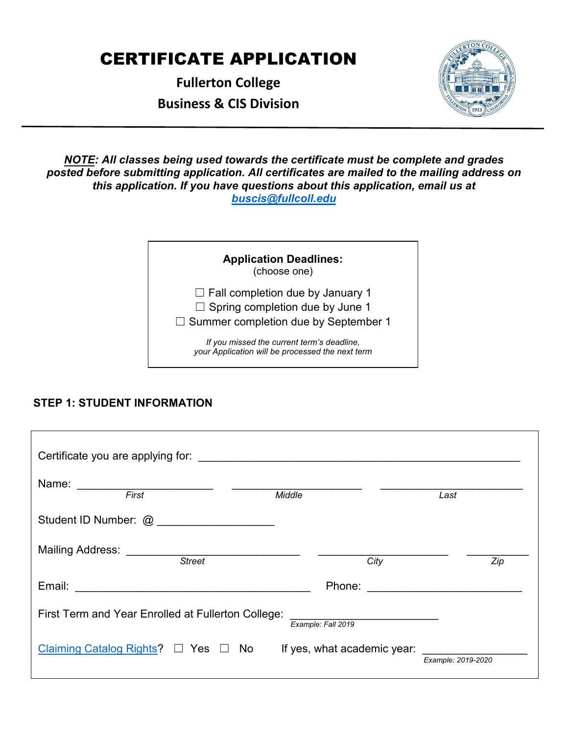# CERTIFICATE APPLICATION

**Fullerton College Business & CIS Division** 



*NOTE: All classes being used towards the certificate must be complete and grades posted before submitting application. All certificates are mailed to the mailing address on this application. If you have questions about this application, email us at buscis@fullcoll.edu* 

| <b>Application Deadlines:</b><br>(choose one)                                                                                    |
|----------------------------------------------------------------------------------------------------------------------------------|
| $\Box$ Fall completion due by January 1<br>$\Box$ Spring completion due by June 1<br>$\Box$ Summer completion due by September 1 |
| If you missed the current term's deadline,<br>your Application will be processed the next term                                   |

# **STEP 1: STUDENT INFORMATION**

| Name: First Text                                                                                         | Middle |                    |      | Last               |     |
|----------------------------------------------------------------------------------------------------------|--------|--------------------|------|--------------------|-----|
| Student ID Number: @ ____________________                                                                |        |                    |      |                    |     |
| Mailing Address: National Address: National Address: National Address: National Address<br><b>Street</b> |        |                    | City |                    | Zip |
|                                                                                                          |        |                    |      |                    |     |
| First Term and Year Enrolled at Fullerton College:                                                       |        | Example: Fall 2019 |      |                    |     |
| Claiming Catalog Rights? $\square$ Yes $\square$ No If yes, what academic year:                          |        |                    |      | Example: 2019-2020 |     |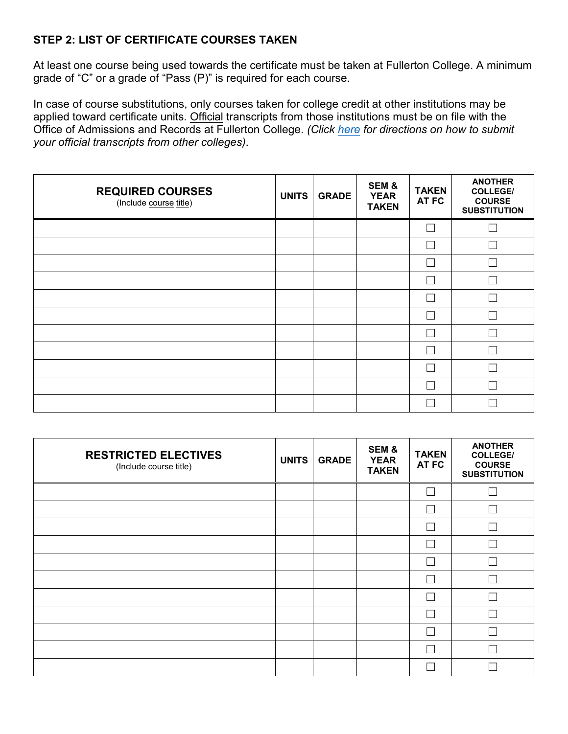## **STEP 2: LIST OF CERTIFICATE COURSES TAKEN**

At least one course being used towards the certificate must be taken at Fullerton College. A minimum grade of "C" or a grade of "Pass (P)" is required for each course.

In case of course substitutions, only courses taken for college credit at other institutions may be applied toward certificate units. Official transcripts from those institutions must be on file with the Office of Admissions and Records at Fullerton College. *(Click [here](https://vpss.fullcoll.edu/ar-remote-services/) for directions on how to submit your official transcripts from other colleges)*.

| <b>REQUIRED COURSES</b><br>(Include course title) | <b>UNITS</b> | <b>GRADE</b> | SEM&<br><b>YEAR</b><br><b>TAKEN</b> | <b>TAKEN</b><br>AT FC | <b>ANOTHER</b><br><b>COLLEGE/</b><br><b>COURSE</b><br><b>SUBSTITUTION</b> |
|---------------------------------------------------|--------------|--------------|-------------------------------------|-----------------------|---------------------------------------------------------------------------|
|                                                   |              |              |                                     |                       |                                                                           |
|                                                   |              |              |                                     |                       |                                                                           |
|                                                   |              |              |                                     |                       |                                                                           |
|                                                   |              |              |                                     |                       |                                                                           |
|                                                   |              |              |                                     |                       |                                                                           |
|                                                   |              |              |                                     |                       |                                                                           |
|                                                   |              |              |                                     |                       |                                                                           |
|                                                   |              |              |                                     |                       |                                                                           |
|                                                   |              |              |                                     |                       |                                                                           |
|                                                   |              |              |                                     |                       |                                                                           |
|                                                   |              |              |                                     |                       |                                                                           |

| <b>RESTRICTED ELECTIVES</b><br>(Include course title) | <b>UNITS</b> | <b>GRADE</b> | SEM&<br><b>YEAR</b><br><b>TAKEN</b> | <b>TAKEN</b><br>AT FC | <b>ANOTHER</b><br><b>COLLEGE/</b><br><b>COURSE</b><br><b>SUBSTITUTION</b> |
|-------------------------------------------------------|--------------|--------------|-------------------------------------|-----------------------|---------------------------------------------------------------------------|
|                                                       |              |              |                                     |                       |                                                                           |
|                                                       |              |              |                                     |                       |                                                                           |
|                                                       |              |              |                                     |                       |                                                                           |
|                                                       |              |              |                                     |                       |                                                                           |
|                                                       |              |              |                                     |                       |                                                                           |
|                                                       |              |              |                                     |                       |                                                                           |
|                                                       |              |              |                                     |                       |                                                                           |
|                                                       |              |              |                                     |                       |                                                                           |
|                                                       |              |              |                                     |                       |                                                                           |
|                                                       |              |              |                                     |                       |                                                                           |
|                                                       |              |              |                                     |                       |                                                                           |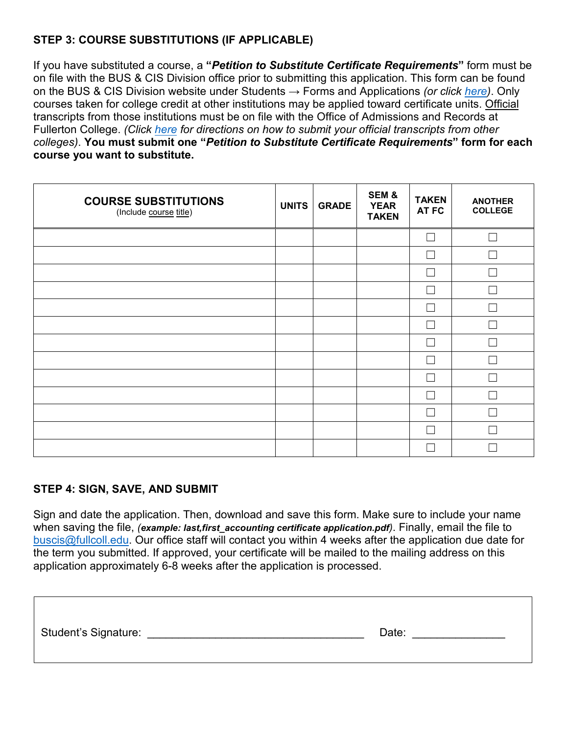# **STEP 3: COURSE SUBSTITUTIONS (IF APPLICABLE)**

If you have substituted a course, a **"***Petition to Substitute Certificate Requirements***"** form must be on file with the BUS & CIS Division office prior to submitting this application. This form can be found on the BUS & CIS Division website under Students → Forms and Applications *(or click [here\)](https://buscis.fullcoll.edu/forms-and-applications/)*. Only courses taken for college credit at other institutions may be applied toward certificate units. Official transcripts from those institutions must be on file with the Office of Admissions and Records at Fullerton College. *(Click [here](https://vpss.fullcoll.edu/ar-remote-services/) for directions on how to submit your official transcripts from other colleges)*. **You must submit one "***Petition to Substitute Certificate Requirements***" form for each course you want to substitute.**

| <b>COURSE SUBSTITUTIONS</b><br>(Include course title) | <b>UNITS</b> | <b>GRADE</b> | SEM&<br><b>YEAR</b><br><b>TAKEN</b> | <b>TAKEN</b><br>AT FC    | <b>ANOTHER</b><br><b>COLLEGE</b> |
|-------------------------------------------------------|--------------|--------------|-------------------------------------|--------------------------|----------------------------------|
|                                                       |              |              |                                     | - 1                      | $\mathbf{L}$                     |
|                                                       |              |              |                                     | - 1                      | L                                |
|                                                       |              |              |                                     |                          |                                  |
|                                                       |              |              |                                     | $\overline{\phantom{a}}$ | r.                               |
|                                                       |              |              |                                     |                          |                                  |
|                                                       |              |              |                                     | $\overline{\phantom{a}}$ | $\mathbf{L}$                     |
|                                                       |              |              |                                     | - 1                      | r.                               |
|                                                       |              |              |                                     |                          |                                  |
|                                                       |              |              |                                     | - 1                      |                                  |
|                                                       |              |              |                                     |                          |                                  |
|                                                       |              |              |                                     |                          |                                  |
|                                                       |              |              |                                     |                          |                                  |
|                                                       |              |              |                                     |                          |                                  |

#### **STEP 4: SIGN, SAVE, AND SUBMIT**

Sign and date the application. Then, download and save this form. Make sure to include your name when saving the file, *(example: last,first accounting certificate application.pdf*). Finally, email the file to buscis@fullcoll.edu. Our office staff will contact you within 4 weeks after the application due date for the term you submitted. If approved, your certificate will be mailed to the mailing address on this application approximately 6-8 weeks after the application is processed.

| Student's Signature: | Date: |
|----------------------|-------|
|                      |       |